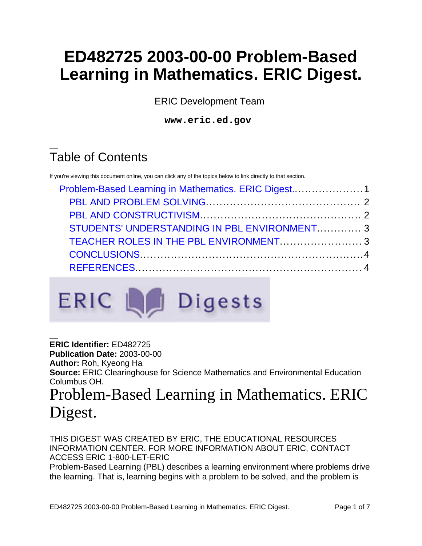# **ED482725 2003-00-00 Problem-Based Learning in Mathematics. ERIC Digest.**

ERIC Development Team

**www.eric.ed.gov**

## Table of Contents

If you're viewing this document online, you can click any of the topics below to link directly to that section.

| STUDENTS' UNDERSTANDING IN PBL ENVIRONMENT 3 |  |
|----------------------------------------------|--|
|                                              |  |
|                                              |  |
|                                              |  |



**ERIC Identifier:** ED482725 **Publication Date:** 2003-00-00 **Author:** Roh, Kyeong Ha **Source:** ERIC Clearinghouse for Science Mathematics and Environmental Education Columbus OH. Problem-Based Learning in Mathematics. ERIC

# <span id="page-0-0"></span>Digest.

THIS DIGEST WAS CREATED BY ERIC, THE EDUCATIONAL RESOURCES INFORMATION CENTER. FOR MORE INFORMATION ABOUT ERIC, CONTACT ACCESS ERIC 1-800-LET-ERIC

Problem-Based Learning (PBL) describes a learning environment where problems drive the learning. That is, learning begins with a problem to be solved, and the problem is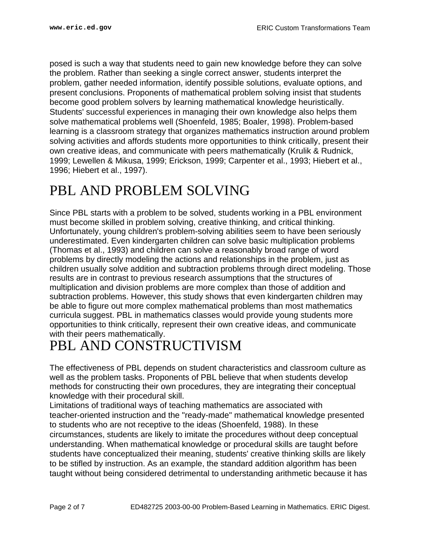posed is such a way that students need to gain new knowledge before they can solve the problem. Rather than seeking a single correct answer, students interpret the problem, gather needed information, identify possible solutions, evaluate options, and present conclusions. Proponents of mathematical problem solving insist that students become good problem solvers by learning mathematical knowledge heuristically. Students' successful experiences in managing their own knowledge also helps them solve mathematical problems well (Shoenfeld, 1985; Boaler, 1998). Problem-based learning is a classroom strategy that organizes mathematics instruction around problem solving activities and affords students more opportunities to think critically, present their own creative ideas, and communicate with peers mathematically (Krulik & Rudnick, 1999; Lewellen & Mikusa, 1999; Erickson, 1999; Carpenter et al., 1993; Hiebert et al., 1996; Hiebert et al., 1997).

## <span id="page-1-0"></span>PBL AND PROBLEM SOLVING

Since PBL starts with a problem to be solved, students working in a PBL environment must become skilled in problem solving, creative thinking, and critical thinking. Unfortunately, young children's problem-solving abilities seem to have been seriously underestimated. Even kindergarten children can solve basic multiplication problems (Thomas et al., 1993) and children can solve a reasonably broad range of word problems by directly modeling the actions and relationships in the problem, just as children usually solve addition and subtraction problems through direct modeling. Those results are in contrast to previous research assumptions that the structures of multiplication and division problems are more complex than those of addition and subtraction problems. However, this study shows that even kindergarten children may be able to figure out more complex mathematical problems than most mathematics curricula suggest. PBL in mathematics classes would provide young students more opportunities to think critically, represent their own creative ideas, and communicate with their peers mathematically.

## <span id="page-1-1"></span>PBL AND CONSTRUCTIVISM

The effectiveness of PBL depends on student characteristics and classroom culture as well as the problem tasks. Proponents of PBL believe that when students develop methods for constructing their own procedures, they are integrating their conceptual knowledge with their procedural skill.

Limitations of traditional ways of teaching mathematics are associated with teacher-oriented instruction and the "ready-made" mathematical knowledge presented to students who are not receptive to the ideas (Shoenfeld, 1988). In these circumstances, students are likely to imitate the procedures without deep conceptual understanding. When mathematical knowledge or procedural skills are taught before students have conceptualized their meaning, students' creative thinking skills are likely to be stifled by instruction. As an example, the standard addition algorithm has been taught without being considered detrimental to understanding arithmetic because it has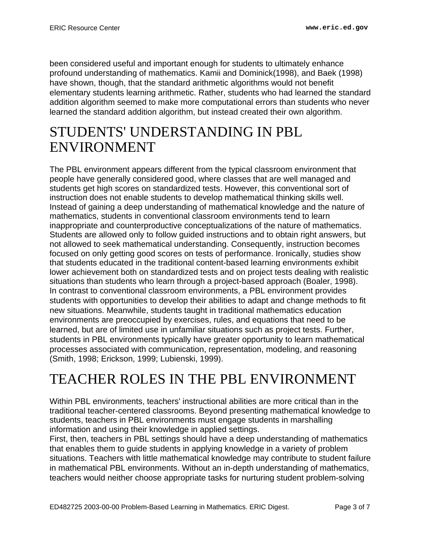been considered useful and important enough for students to ultimately enhance profound understanding of mathematics. Kamii and Dominick(1998), and Baek (1998) have shown, though, that the standard arithmetic algorithms would not benefit elementary students learning arithmetic. Rather, students who had learned the standard addition algorithm seemed to make more computational errors than students who never learned the standard addition algorithm, but instead created their own algorithm.

## <span id="page-2-0"></span>STUDENTS' UNDERSTANDING IN PBL ENVIRONMENT

The PBL environment appears different from the typical classroom environment that people have generally considered good, where classes that are well managed and students get high scores on standardized tests. However, this conventional sort of instruction does not enable students to develop mathematical thinking skills well. Instead of gaining a deep understanding of mathematical knowledge and the nature of mathematics, students in conventional classroom environments tend to learn inappropriate and counterproductive conceptualizations of the nature of mathematics. Students are allowed only to follow guided instructions and to obtain right answers, but not allowed to seek mathematical understanding. Consequently, instruction becomes focused on only getting good scores on tests of performance. Ironically, studies show that students educated in the traditional content-based learning environments exhibit lower achievement both on standardized tests and on project tests dealing with realistic situations than students who learn through a project-based approach (Boaler, 1998). In contrast to conventional classroom environments, a PBL environment provides students with opportunities to develop their abilities to adapt and change methods to fit new situations. Meanwhile, students taught in traditional mathematics education environments are preoccupied by exercises, rules, and equations that need to be learned, but are of limited use in unfamiliar situations such as project tests. Further, students in PBL environments typically have greater opportunity to learn mathematical processes associated with communication, representation, modeling, and reasoning (Smith, 1998; Erickson, 1999; Lubienski, 1999).

## <span id="page-2-1"></span>TEACHER ROLES IN THE PBL ENVIRONMENT

Within PBL environments, teachers' instructional abilities are more critical than in the traditional teacher-centered classrooms. Beyond presenting mathematical knowledge to students, teachers in PBL environments must engage students in marshalling information and using their knowledge in applied settings.

First, then, teachers in PBL settings should have a deep understanding of mathematics that enables them to guide students in applying knowledge in a variety of problem situations. Teachers with little mathematical knowledge may contribute to student failure in mathematical PBL environments. Without an in-depth understanding of mathematics, teachers would neither choose appropriate tasks for nurturing student problem-solving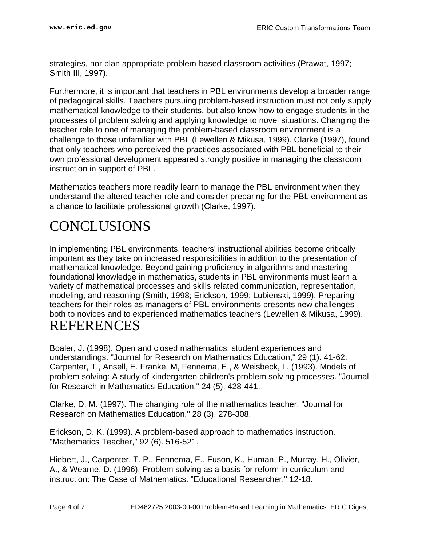strategies, nor plan appropriate problem-based classroom activities (Prawat, 1997; Smith III, 1997).

Furthermore, it is important that teachers in PBL environments develop a broader range of pedagogical skills. Teachers pursuing problem-based instruction must not only supply mathematical knowledge to their students, but also know how to engage students in the processes of problem solving and applying knowledge to novel situations. Changing the teacher role to one of managing the problem-based classroom environment is a challenge to those unfamiliar with PBL (Lewellen & Mikusa, 1999). Clarke (1997), found that only teachers who perceived the practices associated with PBL beneficial to their own professional development appeared strongly positive in managing the classroom instruction in support of PBL.

Mathematics teachers more readily learn to manage the PBL environment when they understand the altered teacher role and consider preparing for the PBL environment as a chance to facilitate professional growth (Clarke, 1997).

## <span id="page-3-0"></span>**CONCLUSIONS**

In implementing PBL environments, teachers' instructional abilities become critically important as they take on increased responsibilities in addition to the presentation of mathematical knowledge. Beyond gaining proficiency in algorithms and mastering foundational knowledge in mathematics, students in PBL environments must learn a variety of mathematical processes and skills related communication, representation, modeling, and reasoning (Smith, 1998; Erickson, 1999; Lubienski, 1999). Preparing teachers for their roles as managers of PBL environments presents new challenges both to novices and to experienced mathematics teachers (Lewellen & Mikusa, 1999). REFERENCES

<span id="page-3-1"></span>Boaler, J. (1998). Open and closed mathematics: student experiences and understandings. "Journal for Research on Mathematics Education," 29 (1). 41-62. Carpenter, T., Ansell, E. Franke, M, Fennema, E., & Weisbeck, L. (1993). Models of problem solving: A study of kindergarten children's problem solving processes. "Journal for Research in Mathematics Education," 24 (5). 428-441.

Clarke, D. M. (1997). The changing role of the mathematics teacher. "Journal for Research on Mathematics Education," 28 (3), 278-308.

Erickson, D. K. (1999). A problem-based approach to mathematics instruction. "Mathematics Teacher," 92 (6). 516-521.

Hiebert, J., Carpenter, T. P., Fennema, E., Fuson, K., Human, P., Murray, H., Olivier, A., & Wearne, D. (1996). Problem solving as a basis for reform in curriculum and instruction: The Case of Mathematics. "Educational Researcher," 12-18.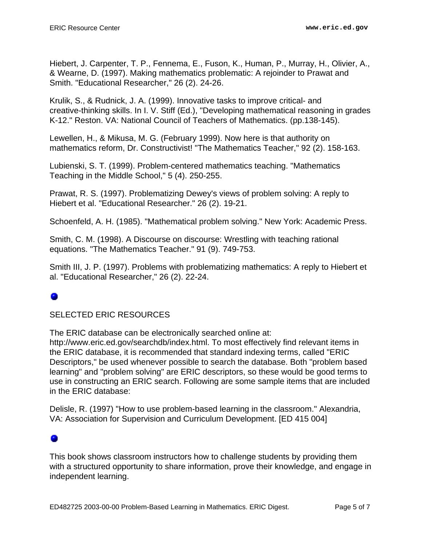Hiebert, J. Carpenter, T. P., Fennema, E., Fuson, K., Human, P., Murray, H., Olivier, A., & Wearne, D. (1997). Making mathematics problematic: A rejoinder to Prawat and Smith. "Educational Researcher," 26 (2). 24-26.

Krulik, S., & Rudnick, J. A. (1999). Innovative tasks to improve critical- and creative-thinking skills. In I. V. Stiff (Ed.), "Developing mathematical reasoning in grades K-12." Reston. VA: National Council of Teachers of Mathematics. (pp.138-145).

Lewellen, H., & Mikusa, M. G. (February 1999). Now here is that authority on mathematics reform, Dr. Constructivist! "The Mathematics Teacher," 92 (2). 158-163.

Lubienski, S. T. (1999). Problem-centered mathematics teaching. "Mathematics Teaching in the Middle School," 5 (4). 250-255.

Prawat, R. S. (1997). Problematizing Dewey's views of problem solving: A reply to Hiebert et al. "Educational Researcher." 26 (2). 19-21.

Schoenfeld, A. H. (1985). "Mathematical problem solving." New York: Academic Press.

Smith, C. M. (1998). A Discourse on discourse: Wrestling with teaching rational equations. "The Mathematics Teacher." 91 (9). 749-753.

Smith III, J. P. (1997). Problems with problematizing mathematics: A reply to Hiebert et al. "Educational Researcher," 26 (2). 22-24.

#### 0

#### SELECTED ERIC RESOURCES

The ERIC database can be electronically searched online at:

http://www.eric.ed.gov/searchdb/index.html. To most effectively find relevant items in the ERIC database, it is recommended that standard indexing terms, called "ERIC Descriptors," be used whenever possible to search the database. Both "problem based learning" and "problem solving" are ERIC descriptors, so these would be good terms to use in constructing an ERIC search. Following are some sample items that are included in the ERIC database:

Delisle, R. (1997) "How to use problem-based learning in the classroom." Alexandria, VA: Association for Supervision and Curriculum Development. [ED 415 004]

#### 0

This book shows classroom instructors how to challenge students by providing them with a structured opportunity to share information, prove their knowledge, and engage in independent learning.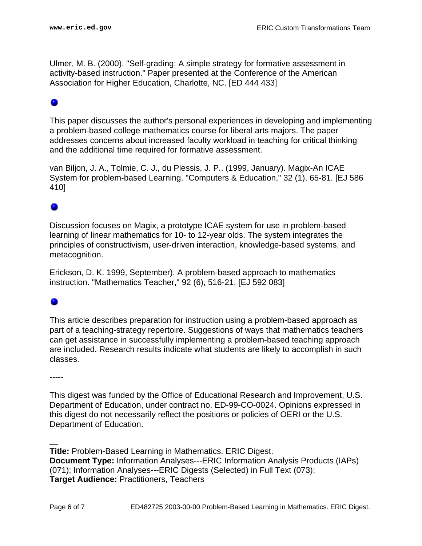Ulmer, M. B. (2000). "Self-grading: A simple strategy for formative assessment in activity-based instruction." Paper presented at the Conference of the American Association for Higher Education, Charlotte, NC. [ED 444 433]

#### ۰

This paper discusses the author's personal experiences in developing and implementing a problem-based college mathematics course for liberal arts majors. The paper addresses concerns about increased faculty workload in teaching for critical thinking and the additional time required for formative assessment.

van Biljon, J. A., Tolmie, C. J., du Plessis, J. P.. (1999, January). Magix-An ICAE System for problem-based Learning. "Computers & Education," 32 (1), 65-81. [EJ 586 410]

Discussion focuses on Magix, a prototype ICAE system for use in problem-based learning of linear mathematics for 10- to 12-year olds. The system integrates the principles of constructivism, user-driven interaction, knowledge-based systems, and metacognition.

Erickson, D. K. 1999, September). A problem-based approach to mathematics instruction. "Mathematics Teacher," 92 (6), 516-21. [EJ 592 083]

#### ۰

This article describes preparation for instruction using a problem-based approach as part of a teaching-strategy repertoire. Suggestions of ways that mathematics teachers can get assistance in successfully implementing a problem-based teaching approach are included. Research results indicate what students are likely to accomplish in such classes.

-----

This digest was funded by the Office of Educational Research and Improvement, U.S. Department of Education, under contract no. ED-99-CO-0024. Opinions expressed in this digest do not necessarily reflect the positions or policies of OERI or the U.S. Department of Education.

**Title:** Problem-Based Learning in Mathematics. ERIC Digest. **Document Type:** Information Analyses---ERIC Information Analysis Products (IAPs) (071); Information Analyses---ERIC Digests (Selected) in Full Text (073); **Target Audience:** Practitioners, Teachers